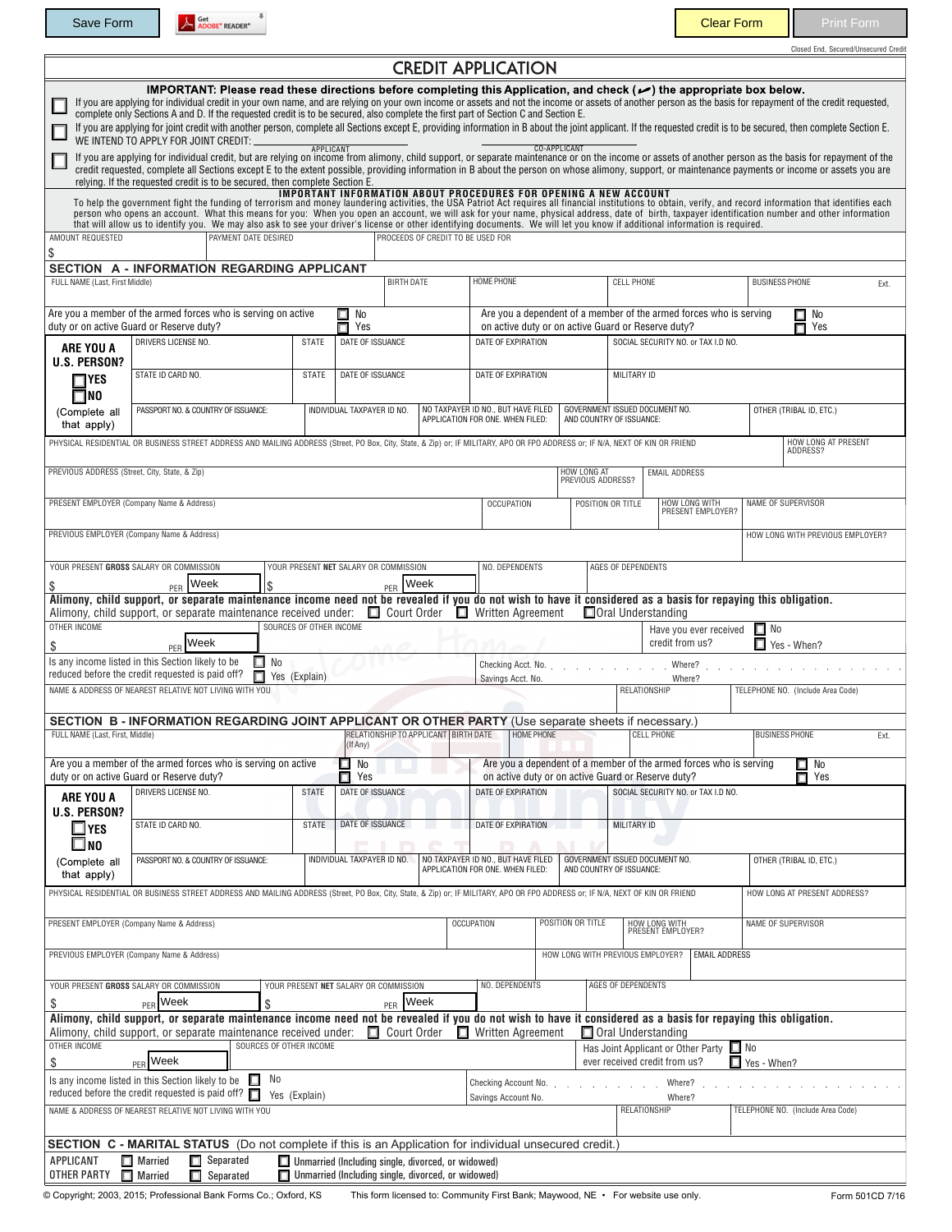Save Form A Societ READER<sup>\*</sup>

Closed End, Secured/Unsecured Credit

|                                                                                                                                          |                                                                                                                                                                                                                                                                                                                                                                                                                                                                                                                                                                                                                                                                                                                                                                                                                                                                                                                                                                   |                         |                                                                                                          |                                   | <b>CREDIT APPLICATION</b>                                                                                                                         |                                                            |                                                            |                                                                    |                                   |                     |
|------------------------------------------------------------------------------------------------------------------------------------------|-------------------------------------------------------------------------------------------------------------------------------------------------------------------------------------------------------------------------------------------------------------------------------------------------------------------------------------------------------------------------------------------------------------------------------------------------------------------------------------------------------------------------------------------------------------------------------------------------------------------------------------------------------------------------------------------------------------------------------------------------------------------------------------------------------------------------------------------------------------------------------------------------------------------------------------------------------------------|-------------------------|----------------------------------------------------------------------------------------------------------|-----------------------------------|---------------------------------------------------------------------------------------------------------------------------------------------------|------------------------------------------------------------|------------------------------------------------------------|--------------------------------------------------------------------|-----------------------------------|---------------------|
|                                                                                                                                          | IMPORTANT: Please read these directions before completing this Application, and check ( $\rightarrow$ ) the appropriate box below.<br>If you are applying for individual credit in your own name, and are relying on your own income or assets and not the income or assets of another person as the basis for repayment of the credit requested,<br>complete only Sections A and D. If the requested credit is to be secured, also complete the first part of Section C and Section E.<br>If you are applying for joint credit with another person, complete all Sections except E, providing information in B about the joint applicant. If the requested credit is to be secured, then complete Section E.<br>WE INTEND TO APPLY FOR JOINT CREDIT:<br>If you are applying for individual credit, but are relying on income from alimony, child support, or separate maintenance or on the income or assets of another person as the basis for repayment of the | <b>APPLICANT</b>        |                                                                                                          |                                   |                                                                                                                                                   | <b>CO-APPLICANT</b>                                        |                                                            |                                                                    |                                   |                     |
|                                                                                                                                          | credit requested, complete all Sections except E to the extent possible, providing information in B about the person on whose alimony, support, or maintenance payments or income or assets you are<br>relying. If the requested credit is to be secured, then complete Section E.                                                                                                                                                                                                                                                                                                                                                                                                                                                                                                                                                                                                                                                                                |                         |                                                                                                          |                                   | IMPORTANT INFORMATION ABOUT PROCEDURES FOR OPENING A NEW ACCOUNT                                                                                  |                                                            |                                                            |                                                                    |                                   |                     |
|                                                                                                                                          | To help the government fight the funding of terrorism and money laundering activities, the USA Patriot Act requires all financial institutions to obtain, verify, and record information that identifies each<br>person who opens an account. What this means for you: When you open an account, we will ask for your name, physical address, date of birth, taxpayer identification number and other information<br>that will allow us to identify you. We may also ask to see your driver's license or other identifying documents. We will let you know if additional information is required.                                                                                                                                                                                                                                                                                                                                                                 |                         |                                                                                                          |                                   |                                                                                                                                                   |                                                            |                                                            |                                                                    |                                   |                     |
| AMOUNT REQUESTED<br>\$                                                                                                                   | PAYMENT DATE DESIRED                                                                                                                                                                                                                                                                                                                                                                                                                                                                                                                                                                                                                                                                                                                                                                                                                                                                                                                                              |                         |                                                                                                          | PROCEEDS OF CREDIT TO BE USED FOR |                                                                                                                                                   |                                                            |                                                            |                                                                    |                                   |                     |
|                                                                                                                                          | SECTION A - INFORMATION REGARDING APPLICANT                                                                                                                                                                                                                                                                                                                                                                                                                                                                                                                                                                                                                                                                                                                                                                                                                                                                                                                       |                         |                                                                                                          |                                   | HOME PHONE                                                                                                                                        |                                                            |                                                            |                                                                    | <b>BUSINESS PHONE</b>             |                     |
| FULL NAME (Last, First Middle)                                                                                                           |                                                                                                                                                                                                                                                                                                                                                                                                                                                                                                                                                                                                                                                                                                                                                                                                                                                                                                                                                                   |                         | <b>BIRTH DATE</b>                                                                                        |                                   |                                                                                                                                                   |                                                            | <b>CELL PHONE</b>                                          |                                                                    |                                   | Ext.                |
|                                                                                                                                          | Are you a member of the armed forces who is serving on active<br>duty or on active Guard or Reserve duty?                                                                                                                                                                                                                                                                                                                                                                                                                                                                                                                                                                                                                                                                                                                                                                                                                                                         |                         | $\square$ No<br>П<br>Yes                                                                                 |                                   | Are you a dependent of a member of the armed forces who is serving<br>$\Box$ No<br>on active duty or on active Guard or Reserve duty?<br>п<br>Yes |                                                            |                                                            |                                                                    |                                   |                     |
| ARE YOU A<br>U.S. PERSON?                                                                                                                | DRIVERS LICENSE NO.                                                                                                                                                                                                                                                                                                                                                                                                                                                                                                                                                                                                                                                                                                                                                                                                                                                                                                                                               | <b>STATE</b>            | DATE OF ISSUANCE                                                                                         |                                   |                                                                                                                                                   | DATE OF EXPIRATION                                         |                                                            | SOCIAL SECURITY NO. or TAX I.D NO.                                 |                                   |                     |
| $\neg$ Yes<br>$\square$ NO                                                                                                               | STATE ID CARD NO.                                                                                                                                                                                                                                                                                                                                                                                                                                                                                                                                                                                                                                                                                                                                                                                                                                                                                                                                                 | <b>STATE</b>            | DATE OF ISSUANCE                                                                                         |                                   |                                                                                                                                                   | DATE OF EXPIRATION                                         |                                                            | MILITARY ID                                                        |                                   |                     |
| (Complete all<br>that apply)                                                                                                             | PASSPORT NO. & COUNTRY OF ISSUANCE:                                                                                                                                                                                                                                                                                                                                                                                                                                                                                                                                                                                                                                                                                                                                                                                                                                                                                                                               |                         | INDIVIDUAL TAXPAYER ID NO.                                                                               |                                   | NO TAXPAYER ID NO., BUT HAVE FILED<br>APPLICATION FOR ONE. WHEN FILED:                                                                            | GOVERNMENT ISSUED DOCUMENT NO.<br>AND COUNTRY OF ISSUANCE: |                                                            |                                                                    | OTHER (TRIBAL ID, ETC.)           |                     |
|                                                                                                                                          | PHYSICAL RESIDENTIAL OR BUSINESS STREET ADDRESS AND MAILING ADDRESS (Street, PO Box, City, State, & Zip) or; IF MILITARY, APO OR FPO ADDRESS or; IF N/A, NEXT OF KIN OR FRIEND                                                                                                                                                                                                                                                                                                                                                                                                                                                                                                                                                                                                                                                                                                                                                                                    |                         |                                                                                                          |                                   |                                                                                                                                                   |                                                            |                                                            |                                                                    | ADDRESS?                          | HOW LONG AT PRESENT |
| PREVIOUS ADDRESS (Street, City, State, & Zip)                                                                                            |                                                                                                                                                                                                                                                                                                                                                                                                                                                                                                                                                                                                                                                                                                                                                                                                                                                                                                                                                                   |                         |                                                                                                          |                                   |                                                                                                                                                   | HOW LONG AT<br>PREVIOUS ADDRESS?                           |                                                            | <b>EMAIL ADDRESS</b>                                               |                                   |                     |
|                                                                                                                                          | PRESENT EMPLOYER (Company Name & Address)                                                                                                                                                                                                                                                                                                                                                                                                                                                                                                                                                                                                                                                                                                                                                                                                                                                                                                                         |                         |                                                                                                          |                                   | <b>OCCUPATION</b>                                                                                                                                 | POSITION OR TITLE                                          |                                                            | HOW LONG WITH<br>PRESENT EMPLOYER?                                 | NAME OF SUPERVISOR                |                     |
|                                                                                                                                          | PREVIOUS EMPLOYER (Company Name & Address)                                                                                                                                                                                                                                                                                                                                                                                                                                                                                                                                                                                                                                                                                                                                                                                                                                                                                                                        |                         |                                                                                                          |                                   |                                                                                                                                                   |                                                            |                                                            |                                                                    | HOW LONG WITH PREVIOUS EMPLOYER?  |                     |
|                                                                                                                                          | YOUR PRESENT GROSS SALARY OR COMMISSION                                                                                                                                                                                                                                                                                                                                                                                                                                                                                                                                                                                                                                                                                                                                                                                                                                                                                                                           |                         | YOUR PRESENT NET SALARY OR COMMISSION                                                                    |                                   | NO. DEPENDENTS                                                                                                                                    |                                                            | AGES OF DEPENDENTS                                         |                                                                    |                                   |                     |
|                                                                                                                                          | Week<br>\$<br>PFR<br>Alimony, child support, or separate maintenance income need not be revealed if you do not wish to have it considered as a basis for repaying this obligation.                                                                                                                                                                                                                                                                                                                                                                                                                                                                                                                                                                                                                                                                                                                                                                                |                         | PFR                                                                                                      | Week                              |                                                                                                                                                   |                                                            |                                                            |                                                                    |                                   |                     |
| OTHER INCOME                                                                                                                             | Alimony, child support, or separate maintenance received under:                                                                                                                                                                                                                                                                                                                                                                                                                                                                                                                                                                                                                                                                                                                                                                                                                                                                                                   | SOURCES OF OTHER INCOME | Court Order                                                                                              |                                   | $\Box$ Written Agreement                                                                                                                          |                                                            | Oral Understanding                                         | Have you ever received                                             | $\Box$ No                         |                     |
| \$                                                                                                                                       | Week<br>PFR                                                                                                                                                                                                                                                                                                                                                                                                                                                                                                                                                                                                                                                                                                                                                                                                                                                                                                                                                       |                         |                                                                                                          |                                   |                                                                                                                                                   |                                                            |                                                            | credit from us?                                                    | Yes - When?                       |                     |
| Is any income listed in this Section likely to be<br>$\Box$ No<br>reduced before the credit requested is paid off?<br>п<br>Yes (Explain) |                                                                                                                                                                                                                                                                                                                                                                                                                                                                                                                                                                                                                                                                                                                                                                                                                                                                                                                                                                   |                         |                                                                                                          |                                   | Checking Acct. No.<br>and the company of the company of<br>Savings Acct. No.                                                                      |                                                            |                                                            | Where?<br>Where?                                                   |                                   |                     |
|                                                                                                                                          | NAME & ADDRESS OF NEAREST RELATIVE NOT LIVING WITH YOU                                                                                                                                                                                                                                                                                                                                                                                                                                                                                                                                                                                                                                                                                                                                                                                                                                                                                                            |                         |                                                                                                          |                                   |                                                                                                                                                   |                                                            | RELATIONSHIP                                               |                                                                    | TELEPHONE NO. (Include Area Code) |                     |
| FULL NAME (Last, First, Middle)                                                                                                          | SECTION B - INFORMATION REGARDING JOINT APPLICANT OR OTHER PARTY (Use separate sheets if necessary.)                                                                                                                                                                                                                                                                                                                                                                                                                                                                                                                                                                                                                                                                                                                                                                                                                                                              |                         | RELATIONSHIP TO APPLICANT BIRTH DATE<br>(If Any)                                                         |                                   | HOME PHONE                                                                                                                                        |                                                            |                                                            | <b>CELL PHONE</b>                                                  | <b>BUSINESS PHONE</b>             | Ext.                |
|                                                                                                                                          | Are you a member of the armed forces who is serving on active                                                                                                                                                                                                                                                                                                                                                                                                                                                                                                                                                                                                                                                                                                                                                                                                                                                                                                     |                         | □<br>No                                                                                                  |                                   |                                                                                                                                                   |                                                            |                                                            | Are you a dependent of a member of the armed forces who is serving | $\Box$ No                         |                     |
|                                                                                                                                          | duty or on active Guard or Reserve duty?<br><b>DRIVERS LICENSE NO.</b>                                                                                                                                                                                                                                                                                                                                                                                                                                                                                                                                                                                                                                                                                                                                                                                                                                                                                            | <b>STATE</b>            | π.<br>Yes<br>DATE OF ISSUANCE                                                                            |                                   | on active duty or on active Guard or Reserve duty?<br>DATE OF EXPIRATION                                                                          |                                                            |                                                            | SOCIAL SECURITY NO. or TAX I.D NO.                                 | $\blacksquare$ Yes                |                     |
| ARE YOU A<br><b>U.S. PERSON?</b>                                                                                                         |                                                                                                                                                                                                                                                                                                                                                                                                                                                                                                                                                                                                                                                                                                                                                                                                                                                                                                                                                                   |                         |                                                                                                          |                                   |                                                                                                                                                   |                                                            |                                                            |                                                                    |                                   |                     |
| $\square$ YES<br>$\square$ no                                                                                                            | STATE ID CARD NO.                                                                                                                                                                                                                                                                                                                                                                                                                                                                                                                                                                                                                                                                                                                                                                                                                                                                                                                                                 | <b>STATE</b>            | DATE OF ISSUANCE                                                                                         |                                   | DATE OF EXPIRATION                                                                                                                                |                                                            | MILITARY ID                                                |                                                                    |                                   |                     |
| (Complete all<br>that apply)                                                                                                             | PASSPORT NO. & COUNTRY OF ISSUANCE:                                                                                                                                                                                                                                                                                                                                                                                                                                                                                                                                                                                                                                                                                                                                                                                                                                                                                                                               |                         | INDIVIDUAL TAXPAYER ID NO.                                                                               |                                   | NO TAXPAYER ID NO., BUT HAVE FILED<br>APPLICATION FOR ONE. WHEN FILED:                                                                            |                                                            | GOVERNMENT ISSUED DOCUMENT NO.<br>AND COUNTRY OF ISSUANCE: |                                                                    | OTHER (TRIBAL ID, ETC.)           |                     |
|                                                                                                                                          | PHYSICAL RESIDENTIAL OR BUSINESS STREET ADDRESS AND MAILING ADDRESS (Street, PO Box, City, State, & Zip) or; IF MILITARY, APO OR FPO ADDRESS or; IF N/A, NEXT OF KIN OR FRIEND                                                                                                                                                                                                                                                                                                                                                                                                                                                                                                                                                                                                                                                                                                                                                                                    |                         |                                                                                                          |                                   |                                                                                                                                                   |                                                            |                                                            |                                                                    | HOW LONG AT PRESENT ADDRESS?      |                     |
|                                                                                                                                          | PRESENT EMPLOYER (Company Name & Address)                                                                                                                                                                                                                                                                                                                                                                                                                                                                                                                                                                                                                                                                                                                                                                                                                                                                                                                         |                         |                                                                                                          |                                   | <b>OCCUPATION</b><br>POSITION OR TITLE                                                                                                            |                                                            | HOW LONG WITH<br>PRESENT EMPLOYER?                         | NAME OF SUPERVISOR                                                 |                                   |                     |
|                                                                                                                                          | PREVIOUS EMPLOYER (Company Name & Address)                                                                                                                                                                                                                                                                                                                                                                                                                                                                                                                                                                                                                                                                                                                                                                                                                                                                                                                        |                         |                                                                                                          |                                   |                                                                                                                                                   | HOW LONG WITH PREVIOUS EMPLOYER?                           |                                                            | <b>EMAIL ADDRESS</b>                                               |                                   |                     |
|                                                                                                                                          | YOUR PRESENT GROSS SALARY OR COMMISSION                                                                                                                                                                                                                                                                                                                                                                                                                                                                                                                                                                                                                                                                                                                                                                                                                                                                                                                           |                         | YOUR PRESENT NET SALARY OR COMMISSION                                                                    |                                   | NO. DEPENDENTS                                                                                                                                    |                                                            | AGES OF DEPENDENTS                                         |                                                                    |                                   |                     |
| \$                                                                                                                                       | $PER$ Week<br>\$<br>Alimony, child support, or separate maintenance income need not be revealed if you do not wish to have it considered as a basis for repaying this obligation.                                                                                                                                                                                                                                                                                                                                                                                                                                                                                                                                                                                                                                                                                                                                                                                 |                         | PER Week                                                                                                 |                                   |                                                                                                                                                   |                                                            |                                                            |                                                                    |                                   |                     |
| OTHER INCOME                                                                                                                             | Alimony, child support, or separate maintenance received under:<br>SOURCES OF OTHER INCOME                                                                                                                                                                                                                                                                                                                                                                                                                                                                                                                                                                                                                                                                                                                                                                                                                                                                        |                         | $\Box$ Court Order                                                                                       |                                   | $\Box$ Written Agreement                                                                                                                          |                                                            | Oral Understanding                                         | Has Joint Applicant or Other Party No                              |                                   |                     |
| \$                                                                                                                                       | $PER$ Week                                                                                                                                                                                                                                                                                                                                                                                                                                                                                                                                                                                                                                                                                                                                                                                                                                                                                                                                                        |                         |                                                                                                          |                                   |                                                                                                                                                   |                                                            |                                                            | ever received credit from us?                                      | Yes - When?                       |                     |
| No<br>Is any income listed in this Section likely to be<br>П<br>reduced before the credit requested is paid off? $\Box$<br>Yes (Explain) |                                                                                                                                                                                                                                                                                                                                                                                                                                                                                                                                                                                                                                                                                                                                                                                                                                                                                                                                                                   |                         |                                                                                                          |                                   | Checking Account No.<br>Savings Account No.                                                                                                       |                                                            | Where?<br>Where?                                           |                                                                    |                                   |                     |
|                                                                                                                                          | NAME & ADDRESS OF NEAREST RELATIVE NOT LIVING WITH YOU                                                                                                                                                                                                                                                                                                                                                                                                                                                                                                                                                                                                                                                                                                                                                                                                                                                                                                            |                         |                                                                                                          |                                   |                                                                                                                                                   |                                                            | RELATIONSHIP                                               |                                                                    | TELEPHONE NO. (Include Area Code) |                     |
|                                                                                                                                          | <b>SECTION C - MARITAL STATUS</b> (Do not complete if this is an Application for individual unsecured credit.)                                                                                                                                                                                                                                                                                                                                                                                                                                                                                                                                                                                                                                                                                                                                                                                                                                                    |                         |                                                                                                          |                                   |                                                                                                                                                   |                                                            |                                                            |                                                                    |                                   |                     |
| <b>APPLICANT</b><br>OTHER PARTY                                                                                                          | $\Box$ Separated<br>$\Box$ Married<br>$\Box$ Married<br>П.<br>Separated                                                                                                                                                                                                                                                                                                                                                                                                                                                                                                                                                                                                                                                                                                                                                                                                                                                                                           |                         | Unmarried (Including single, divorced, or widowed)<br>Unmarried (Including single, divorced, or widowed) |                                   |                                                                                                                                                   |                                                            |                                                            |                                                                    |                                   |                     |

© Copyright; 2003, 2015; Professional Bank Forms Co.; Oxford, KS This form licensed to: Community First Bank; Maywood, NE • For website use only. Form 501CD 7/16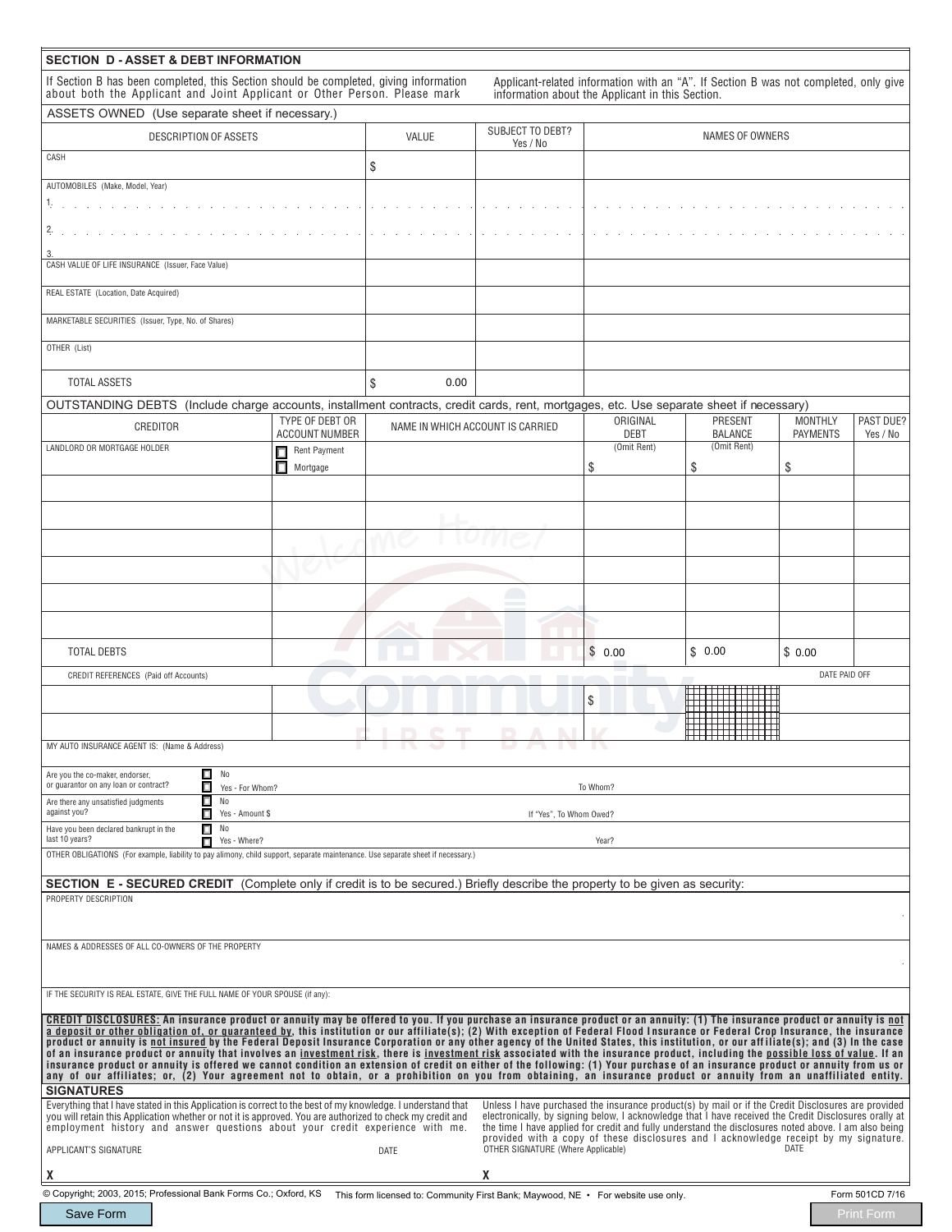| If Section B has been completed, this Section should be completed, giving information<br>Applicant-related information with an "A". If Section B was not completed, only give<br>about both the Applicant and Joint Applicant or Other Person. Please mark<br>information about the Applicant in this Section.<br>ASSETS OWNED (Use separate sheet if necessary.)<br>SUBJECT TO DEBT?<br><b>DESCRIPTION OF ASSETS</b><br>VALUE<br>NAMES OF OWNERS<br>Yes / No<br>CASH<br>\$<br>AUTOMOBILES (Make, Model, Year)<br>CASH VALUE OF LIFE INSURANCE (Issuer, Face Value)<br>REAL ESTATE (Location, Date Acquired)<br>MARKETABLE SECURITIES (Issuer, Type, No. of Shares)<br>OTHER (List)<br>TOTAL ASSETS<br>\$<br>0.00<br>OUTSTANDING DEBTS (Include charge accounts, installment contracts, credit cards, rent, mortgages, etc. Use separate sheet if necessary)<br>ORIGINAL<br>TYPE OF DEBT OR<br>PRESENT<br><b>MONTHLY</b><br>PAST DUE?<br>CREDITOR<br>NAME IN WHICH ACCOUNT IS CARRIED<br><b>ACCOUNT NUMBER</b><br><b>DEBT</b><br><b>BALANCE</b><br><b>PAYMENTS</b><br>Yes / No<br>(Omit Rent)<br>(Omit Rent)<br>LANDLORD OR MORTGAGE HOLDER<br>Rent Payment<br>□<br>п<br>\$<br>\$<br>\$<br>Mortgage<br>\$0.00<br>\$0.00<br>\$0.00<br><b>TOTAL DEBTS</b><br>DATE PAID OFF<br>CREDIT REFERENCES (Paid off Accounts)<br>\$<br>MY AUTO INSURANCE AGENT IS: (Name & Address<br>$\Box$<br>No<br>Are you the co-maker, endorser,<br>or quarantor on any loan or contract?<br>П<br>Yes - For Whom?<br>To Whom?<br>П<br>No<br>Are there any unsatisfied judgments<br>against you?<br>п.<br>Yes - Amount \$<br>If "Yes". To Whom Owed?<br>П<br>No<br>Have you been declared bankrupt in the<br>last 10 years?<br>П<br>Yes - Where?<br>Year?<br>OTHER OBLIGATIONS (For example, liability to pay alimony, child support, separate maintenance. Use separate sheet if necessary.)<br><b>SECTION E - SECURED CREDIT</b> (Complete only if credit is to be secured.) Briefly describe the property to be given as security:<br>PROPERTY DESCRIPTION<br>NAMES & ADDRESSES OF ALL CO-OWNERS OF THE PROPERTY<br>IF THE SECURITY IS REAL ESTATE, GIVE THE FULL NAME OF YOUR SPOUSE (if any):<br>CREDIT DISCLOSURES: An insurance product or annuity may be offered to you. If you purchase an insurance product or an annuity: (1) The insurance product or annuity is not<br>a deposit or other obligation of, or guaranteed by, this institution or our affiliate(s); (2) With exception of Federal Flood Insurance or Federal Crop Insurance, the insurance<br>product or annuity is not insured by the Federal Deposit Insurance Corporation or any other agency of the United States, this institution, or our affiliate(s); and (3) In the case<br>of an insurance product or annuity that involves an investment risk, there is investment risk associated with the insurance product, including the possible loss of value. If an<br>insurance product or annuity is offered we cannot condition an extension of credit on either of the following: (1) Your purchase of an insurance product or annuity from us or<br>any of our affiliates; or, (2) Your agreement not to obtain, or a prohibition on you from obtaining, an insurance product or annuity from an unaffiliated entity.<br><b>SIGNATURES</b><br>Unless I have purchased the insurance product(s) by mail or if the Credit Disclosures are provided<br>Everything that I have stated in this Application is correct to the best of my knowledge. I understand that<br>electronically, by signing below, I acknowledge that I have received the Credit Disclosures orally at<br>you will retain this Application whether or not it is approved. You are authorized to check my credit and<br>the time I have applied for credit and fully understand the disclosures noted above. I am also being<br>employment history and answer questions about your credit experience with me.<br>provided with a copy of these disclosures and I acknowledge receipt by my signature.<br>DATE<br>OTHER SIGNATURE (Where Applicable)<br>APPLICANT'S SIGNATURE<br><b>DATE</b><br>X<br>X<br>© Copyright; 2003, 2015; Professional Bank Forms Co.; Oxford, KS This form licensed to: Community First Bank; Maywood, NE · For website use only.<br>Form 501CD 7/16<br>Save Form<br><b>Print Form</b> | <b>SECTION D - ASSET &amp; DEBT INFORMATION</b> |  |  |  |  |  |  |  |
|-------------------------------------------------------------------------------------------------------------------------------------------------------------------------------------------------------------------------------------------------------------------------------------------------------------------------------------------------------------------------------------------------------------------------------------------------------------------------------------------------------------------------------------------------------------------------------------------------------------------------------------------------------------------------------------------------------------------------------------------------------------------------------------------------------------------------------------------------------------------------------------------------------------------------------------------------------------------------------------------------------------------------------------------------------------------------------------------------------------------------------------------------------------------------------------------------------------------------------------------------------------------------------------------------------------------------------------------------------------------------------------------------------------------------------------------------------------------------------------------------------------------------------------------------------------------------------------------------------------------------------------------------------------------------------------------------------------------------------------------------------------------------------------------------------------------------------------------------------------------------------------------------------------------------------------------------------------------------------------------------------------------------------------------------------------------------------------------------------------------------------------------------------------------------------------------------------------------------------------------------------------------------------------------------------------------------------------------------------------------------------------------------------------------------------------------------------------------------------------------------------------------------------------------------------------------------------------------------------------------------------------------------------------------------------------------------------------------------------------------------------------------------------------------------------------------------------------------------------------------------------------------------------------------------------------------------------------------------------------------------------------------------------------------------------------------------------------------------------------------------------------------------------------------------------------------------------------------------------------------------------------------------------------------------------------------------------------------------------------------------------------------------------------------------------------------------------------------------------------------------------------------------------------------------------------------------------------------------------------------------------------------------------------------------------------------------------------------------------------------------------------------------------------------------------------------------------------------------------------------------------------------------------------------------------------------------------------------------------------------------------------------------------------------------------------------------------------------------------------------------------------------------------------------------------------------------------------------------------------------------------------------------------------------------------------------------------------------|-------------------------------------------------|--|--|--|--|--|--|--|
|                                                                                                                                                                                                                                                                                                                                                                                                                                                                                                                                                                                                                                                                                                                                                                                                                                                                                                                                                                                                                                                                                                                                                                                                                                                                                                                                                                                                                                                                                                                                                                                                                                                                                                                                                                                                                                                                                                                                                                                                                                                                                                                                                                                                                                                                                                                                                                                                                                                                                                                                                                                                                                                                                                                                                                                                                                                                                                                                                                                                                                                                                                                                                                                                                                                                                                                                                                                                                                                                                                                                                                                                                                                                                                                                                                                                                                                                                                                                                                                                                                                                                                                                                                                                                                                                                                                                           |                                                 |  |  |  |  |  |  |  |
|                                                                                                                                                                                                                                                                                                                                                                                                                                                                                                                                                                                                                                                                                                                                                                                                                                                                                                                                                                                                                                                                                                                                                                                                                                                                                                                                                                                                                                                                                                                                                                                                                                                                                                                                                                                                                                                                                                                                                                                                                                                                                                                                                                                                                                                                                                                                                                                                                                                                                                                                                                                                                                                                                                                                                                                                                                                                                                                                                                                                                                                                                                                                                                                                                                                                                                                                                                                                                                                                                                                                                                                                                                                                                                                                                                                                                                                                                                                                                                                                                                                                                                                                                                                                                                                                                                                                           |                                                 |  |  |  |  |  |  |  |
|                                                                                                                                                                                                                                                                                                                                                                                                                                                                                                                                                                                                                                                                                                                                                                                                                                                                                                                                                                                                                                                                                                                                                                                                                                                                                                                                                                                                                                                                                                                                                                                                                                                                                                                                                                                                                                                                                                                                                                                                                                                                                                                                                                                                                                                                                                                                                                                                                                                                                                                                                                                                                                                                                                                                                                                                                                                                                                                                                                                                                                                                                                                                                                                                                                                                                                                                                                                                                                                                                                                                                                                                                                                                                                                                                                                                                                                                                                                                                                                                                                                                                                                                                                                                                                                                                                                                           |                                                 |  |  |  |  |  |  |  |
|                                                                                                                                                                                                                                                                                                                                                                                                                                                                                                                                                                                                                                                                                                                                                                                                                                                                                                                                                                                                                                                                                                                                                                                                                                                                                                                                                                                                                                                                                                                                                                                                                                                                                                                                                                                                                                                                                                                                                                                                                                                                                                                                                                                                                                                                                                                                                                                                                                                                                                                                                                                                                                                                                                                                                                                                                                                                                                                                                                                                                                                                                                                                                                                                                                                                                                                                                                                                                                                                                                                                                                                                                                                                                                                                                                                                                                                                                                                                                                                                                                                                                                                                                                                                                                                                                                                                           |                                                 |  |  |  |  |  |  |  |
|                                                                                                                                                                                                                                                                                                                                                                                                                                                                                                                                                                                                                                                                                                                                                                                                                                                                                                                                                                                                                                                                                                                                                                                                                                                                                                                                                                                                                                                                                                                                                                                                                                                                                                                                                                                                                                                                                                                                                                                                                                                                                                                                                                                                                                                                                                                                                                                                                                                                                                                                                                                                                                                                                                                                                                                                                                                                                                                                                                                                                                                                                                                                                                                                                                                                                                                                                                                                                                                                                                                                                                                                                                                                                                                                                                                                                                                                                                                                                                                                                                                                                                                                                                                                                                                                                                                                           |                                                 |  |  |  |  |  |  |  |
|                                                                                                                                                                                                                                                                                                                                                                                                                                                                                                                                                                                                                                                                                                                                                                                                                                                                                                                                                                                                                                                                                                                                                                                                                                                                                                                                                                                                                                                                                                                                                                                                                                                                                                                                                                                                                                                                                                                                                                                                                                                                                                                                                                                                                                                                                                                                                                                                                                                                                                                                                                                                                                                                                                                                                                                                                                                                                                                                                                                                                                                                                                                                                                                                                                                                                                                                                                                                                                                                                                                                                                                                                                                                                                                                                                                                                                                                                                                                                                                                                                                                                                                                                                                                                                                                                                                                           |                                                 |  |  |  |  |  |  |  |
|                                                                                                                                                                                                                                                                                                                                                                                                                                                                                                                                                                                                                                                                                                                                                                                                                                                                                                                                                                                                                                                                                                                                                                                                                                                                                                                                                                                                                                                                                                                                                                                                                                                                                                                                                                                                                                                                                                                                                                                                                                                                                                                                                                                                                                                                                                                                                                                                                                                                                                                                                                                                                                                                                                                                                                                                                                                                                                                                                                                                                                                                                                                                                                                                                                                                                                                                                                                                                                                                                                                                                                                                                                                                                                                                                                                                                                                                                                                                                                                                                                                                                                                                                                                                                                                                                                                                           |                                                 |  |  |  |  |  |  |  |
|                                                                                                                                                                                                                                                                                                                                                                                                                                                                                                                                                                                                                                                                                                                                                                                                                                                                                                                                                                                                                                                                                                                                                                                                                                                                                                                                                                                                                                                                                                                                                                                                                                                                                                                                                                                                                                                                                                                                                                                                                                                                                                                                                                                                                                                                                                                                                                                                                                                                                                                                                                                                                                                                                                                                                                                                                                                                                                                                                                                                                                                                                                                                                                                                                                                                                                                                                                                                                                                                                                                                                                                                                                                                                                                                                                                                                                                                                                                                                                                                                                                                                                                                                                                                                                                                                                                                           |                                                 |  |  |  |  |  |  |  |
|                                                                                                                                                                                                                                                                                                                                                                                                                                                                                                                                                                                                                                                                                                                                                                                                                                                                                                                                                                                                                                                                                                                                                                                                                                                                                                                                                                                                                                                                                                                                                                                                                                                                                                                                                                                                                                                                                                                                                                                                                                                                                                                                                                                                                                                                                                                                                                                                                                                                                                                                                                                                                                                                                                                                                                                                                                                                                                                                                                                                                                                                                                                                                                                                                                                                                                                                                                                                                                                                                                                                                                                                                                                                                                                                                                                                                                                                                                                                                                                                                                                                                                                                                                                                                                                                                                                                           |                                                 |  |  |  |  |  |  |  |
|                                                                                                                                                                                                                                                                                                                                                                                                                                                                                                                                                                                                                                                                                                                                                                                                                                                                                                                                                                                                                                                                                                                                                                                                                                                                                                                                                                                                                                                                                                                                                                                                                                                                                                                                                                                                                                                                                                                                                                                                                                                                                                                                                                                                                                                                                                                                                                                                                                                                                                                                                                                                                                                                                                                                                                                                                                                                                                                                                                                                                                                                                                                                                                                                                                                                                                                                                                                                                                                                                                                                                                                                                                                                                                                                                                                                                                                                                                                                                                                                                                                                                                                                                                                                                                                                                                                                           |                                                 |  |  |  |  |  |  |  |
|                                                                                                                                                                                                                                                                                                                                                                                                                                                                                                                                                                                                                                                                                                                                                                                                                                                                                                                                                                                                                                                                                                                                                                                                                                                                                                                                                                                                                                                                                                                                                                                                                                                                                                                                                                                                                                                                                                                                                                                                                                                                                                                                                                                                                                                                                                                                                                                                                                                                                                                                                                                                                                                                                                                                                                                                                                                                                                                                                                                                                                                                                                                                                                                                                                                                                                                                                                                                                                                                                                                                                                                                                                                                                                                                                                                                                                                                                                                                                                                                                                                                                                                                                                                                                                                                                                                                           |                                                 |  |  |  |  |  |  |  |
|                                                                                                                                                                                                                                                                                                                                                                                                                                                                                                                                                                                                                                                                                                                                                                                                                                                                                                                                                                                                                                                                                                                                                                                                                                                                                                                                                                                                                                                                                                                                                                                                                                                                                                                                                                                                                                                                                                                                                                                                                                                                                                                                                                                                                                                                                                                                                                                                                                                                                                                                                                                                                                                                                                                                                                                                                                                                                                                                                                                                                                                                                                                                                                                                                                                                                                                                                                                                                                                                                                                                                                                                                                                                                                                                                                                                                                                                                                                                                                                                                                                                                                                                                                                                                                                                                                                                           |                                                 |  |  |  |  |  |  |  |
|                                                                                                                                                                                                                                                                                                                                                                                                                                                                                                                                                                                                                                                                                                                                                                                                                                                                                                                                                                                                                                                                                                                                                                                                                                                                                                                                                                                                                                                                                                                                                                                                                                                                                                                                                                                                                                                                                                                                                                                                                                                                                                                                                                                                                                                                                                                                                                                                                                                                                                                                                                                                                                                                                                                                                                                                                                                                                                                                                                                                                                                                                                                                                                                                                                                                                                                                                                                                                                                                                                                                                                                                                                                                                                                                                                                                                                                                                                                                                                                                                                                                                                                                                                                                                                                                                                                                           |                                                 |  |  |  |  |  |  |  |
|                                                                                                                                                                                                                                                                                                                                                                                                                                                                                                                                                                                                                                                                                                                                                                                                                                                                                                                                                                                                                                                                                                                                                                                                                                                                                                                                                                                                                                                                                                                                                                                                                                                                                                                                                                                                                                                                                                                                                                                                                                                                                                                                                                                                                                                                                                                                                                                                                                                                                                                                                                                                                                                                                                                                                                                                                                                                                                                                                                                                                                                                                                                                                                                                                                                                                                                                                                                                                                                                                                                                                                                                                                                                                                                                                                                                                                                                                                                                                                                                                                                                                                                                                                                                                                                                                                                                           |                                                 |  |  |  |  |  |  |  |
|                                                                                                                                                                                                                                                                                                                                                                                                                                                                                                                                                                                                                                                                                                                                                                                                                                                                                                                                                                                                                                                                                                                                                                                                                                                                                                                                                                                                                                                                                                                                                                                                                                                                                                                                                                                                                                                                                                                                                                                                                                                                                                                                                                                                                                                                                                                                                                                                                                                                                                                                                                                                                                                                                                                                                                                                                                                                                                                                                                                                                                                                                                                                                                                                                                                                                                                                                                                                                                                                                                                                                                                                                                                                                                                                                                                                                                                                                                                                                                                                                                                                                                                                                                                                                                                                                                                                           |                                                 |  |  |  |  |  |  |  |
|                                                                                                                                                                                                                                                                                                                                                                                                                                                                                                                                                                                                                                                                                                                                                                                                                                                                                                                                                                                                                                                                                                                                                                                                                                                                                                                                                                                                                                                                                                                                                                                                                                                                                                                                                                                                                                                                                                                                                                                                                                                                                                                                                                                                                                                                                                                                                                                                                                                                                                                                                                                                                                                                                                                                                                                                                                                                                                                                                                                                                                                                                                                                                                                                                                                                                                                                                                                                                                                                                                                                                                                                                                                                                                                                                                                                                                                                                                                                                                                                                                                                                                                                                                                                                                                                                                                                           |                                                 |  |  |  |  |  |  |  |
|                                                                                                                                                                                                                                                                                                                                                                                                                                                                                                                                                                                                                                                                                                                                                                                                                                                                                                                                                                                                                                                                                                                                                                                                                                                                                                                                                                                                                                                                                                                                                                                                                                                                                                                                                                                                                                                                                                                                                                                                                                                                                                                                                                                                                                                                                                                                                                                                                                                                                                                                                                                                                                                                                                                                                                                                                                                                                                                                                                                                                                                                                                                                                                                                                                                                                                                                                                                                                                                                                                                                                                                                                                                                                                                                                                                                                                                                                                                                                                                                                                                                                                                                                                                                                                                                                                                                           |                                                 |  |  |  |  |  |  |  |
|                                                                                                                                                                                                                                                                                                                                                                                                                                                                                                                                                                                                                                                                                                                                                                                                                                                                                                                                                                                                                                                                                                                                                                                                                                                                                                                                                                                                                                                                                                                                                                                                                                                                                                                                                                                                                                                                                                                                                                                                                                                                                                                                                                                                                                                                                                                                                                                                                                                                                                                                                                                                                                                                                                                                                                                                                                                                                                                                                                                                                                                                                                                                                                                                                                                                                                                                                                                                                                                                                                                                                                                                                                                                                                                                                                                                                                                                                                                                                                                                                                                                                                                                                                                                                                                                                                                                           |                                                 |  |  |  |  |  |  |  |
|                                                                                                                                                                                                                                                                                                                                                                                                                                                                                                                                                                                                                                                                                                                                                                                                                                                                                                                                                                                                                                                                                                                                                                                                                                                                                                                                                                                                                                                                                                                                                                                                                                                                                                                                                                                                                                                                                                                                                                                                                                                                                                                                                                                                                                                                                                                                                                                                                                                                                                                                                                                                                                                                                                                                                                                                                                                                                                                                                                                                                                                                                                                                                                                                                                                                                                                                                                                                                                                                                                                                                                                                                                                                                                                                                                                                                                                                                                                                                                                                                                                                                                                                                                                                                                                                                                                                           |                                                 |  |  |  |  |  |  |  |
|                                                                                                                                                                                                                                                                                                                                                                                                                                                                                                                                                                                                                                                                                                                                                                                                                                                                                                                                                                                                                                                                                                                                                                                                                                                                                                                                                                                                                                                                                                                                                                                                                                                                                                                                                                                                                                                                                                                                                                                                                                                                                                                                                                                                                                                                                                                                                                                                                                                                                                                                                                                                                                                                                                                                                                                                                                                                                                                                                                                                                                                                                                                                                                                                                                                                                                                                                                                                                                                                                                                                                                                                                                                                                                                                                                                                                                                                                                                                                                                                                                                                                                                                                                                                                                                                                                                                           |                                                 |  |  |  |  |  |  |  |
|                                                                                                                                                                                                                                                                                                                                                                                                                                                                                                                                                                                                                                                                                                                                                                                                                                                                                                                                                                                                                                                                                                                                                                                                                                                                                                                                                                                                                                                                                                                                                                                                                                                                                                                                                                                                                                                                                                                                                                                                                                                                                                                                                                                                                                                                                                                                                                                                                                                                                                                                                                                                                                                                                                                                                                                                                                                                                                                                                                                                                                                                                                                                                                                                                                                                                                                                                                                                                                                                                                                                                                                                                                                                                                                                                                                                                                                                                                                                                                                                                                                                                                                                                                                                                                                                                                                                           |                                                 |  |  |  |  |  |  |  |
|                                                                                                                                                                                                                                                                                                                                                                                                                                                                                                                                                                                                                                                                                                                                                                                                                                                                                                                                                                                                                                                                                                                                                                                                                                                                                                                                                                                                                                                                                                                                                                                                                                                                                                                                                                                                                                                                                                                                                                                                                                                                                                                                                                                                                                                                                                                                                                                                                                                                                                                                                                                                                                                                                                                                                                                                                                                                                                                                                                                                                                                                                                                                                                                                                                                                                                                                                                                                                                                                                                                                                                                                                                                                                                                                                                                                                                                                                                                                                                                                                                                                                                                                                                                                                                                                                                                                           |                                                 |  |  |  |  |  |  |  |
|                                                                                                                                                                                                                                                                                                                                                                                                                                                                                                                                                                                                                                                                                                                                                                                                                                                                                                                                                                                                                                                                                                                                                                                                                                                                                                                                                                                                                                                                                                                                                                                                                                                                                                                                                                                                                                                                                                                                                                                                                                                                                                                                                                                                                                                                                                                                                                                                                                                                                                                                                                                                                                                                                                                                                                                                                                                                                                                                                                                                                                                                                                                                                                                                                                                                                                                                                                                                                                                                                                                                                                                                                                                                                                                                                                                                                                                                                                                                                                                                                                                                                                                                                                                                                                                                                                                                           |                                                 |  |  |  |  |  |  |  |
|                                                                                                                                                                                                                                                                                                                                                                                                                                                                                                                                                                                                                                                                                                                                                                                                                                                                                                                                                                                                                                                                                                                                                                                                                                                                                                                                                                                                                                                                                                                                                                                                                                                                                                                                                                                                                                                                                                                                                                                                                                                                                                                                                                                                                                                                                                                                                                                                                                                                                                                                                                                                                                                                                                                                                                                                                                                                                                                                                                                                                                                                                                                                                                                                                                                                                                                                                                                                                                                                                                                                                                                                                                                                                                                                                                                                                                                                                                                                                                                                                                                                                                                                                                                                                                                                                                                                           |                                                 |  |  |  |  |  |  |  |
|                                                                                                                                                                                                                                                                                                                                                                                                                                                                                                                                                                                                                                                                                                                                                                                                                                                                                                                                                                                                                                                                                                                                                                                                                                                                                                                                                                                                                                                                                                                                                                                                                                                                                                                                                                                                                                                                                                                                                                                                                                                                                                                                                                                                                                                                                                                                                                                                                                                                                                                                                                                                                                                                                                                                                                                                                                                                                                                                                                                                                                                                                                                                                                                                                                                                                                                                                                                                                                                                                                                                                                                                                                                                                                                                                                                                                                                                                                                                                                                                                                                                                                                                                                                                                                                                                                                                           |                                                 |  |  |  |  |  |  |  |
|                                                                                                                                                                                                                                                                                                                                                                                                                                                                                                                                                                                                                                                                                                                                                                                                                                                                                                                                                                                                                                                                                                                                                                                                                                                                                                                                                                                                                                                                                                                                                                                                                                                                                                                                                                                                                                                                                                                                                                                                                                                                                                                                                                                                                                                                                                                                                                                                                                                                                                                                                                                                                                                                                                                                                                                                                                                                                                                                                                                                                                                                                                                                                                                                                                                                                                                                                                                                                                                                                                                                                                                                                                                                                                                                                                                                                                                                                                                                                                                                                                                                                                                                                                                                                                                                                                                                           |                                                 |  |  |  |  |  |  |  |
|                                                                                                                                                                                                                                                                                                                                                                                                                                                                                                                                                                                                                                                                                                                                                                                                                                                                                                                                                                                                                                                                                                                                                                                                                                                                                                                                                                                                                                                                                                                                                                                                                                                                                                                                                                                                                                                                                                                                                                                                                                                                                                                                                                                                                                                                                                                                                                                                                                                                                                                                                                                                                                                                                                                                                                                                                                                                                                                                                                                                                                                                                                                                                                                                                                                                                                                                                                                                                                                                                                                                                                                                                                                                                                                                                                                                                                                                                                                                                                                                                                                                                                                                                                                                                                                                                                                                           |                                                 |  |  |  |  |  |  |  |
|                                                                                                                                                                                                                                                                                                                                                                                                                                                                                                                                                                                                                                                                                                                                                                                                                                                                                                                                                                                                                                                                                                                                                                                                                                                                                                                                                                                                                                                                                                                                                                                                                                                                                                                                                                                                                                                                                                                                                                                                                                                                                                                                                                                                                                                                                                                                                                                                                                                                                                                                                                                                                                                                                                                                                                                                                                                                                                                                                                                                                                                                                                                                                                                                                                                                                                                                                                                                                                                                                                                                                                                                                                                                                                                                                                                                                                                                                                                                                                                                                                                                                                                                                                                                                                                                                                                                           |                                                 |  |  |  |  |  |  |  |
|                                                                                                                                                                                                                                                                                                                                                                                                                                                                                                                                                                                                                                                                                                                                                                                                                                                                                                                                                                                                                                                                                                                                                                                                                                                                                                                                                                                                                                                                                                                                                                                                                                                                                                                                                                                                                                                                                                                                                                                                                                                                                                                                                                                                                                                                                                                                                                                                                                                                                                                                                                                                                                                                                                                                                                                                                                                                                                                                                                                                                                                                                                                                                                                                                                                                                                                                                                                                                                                                                                                                                                                                                                                                                                                                                                                                                                                                                                                                                                                                                                                                                                                                                                                                                                                                                                                                           |                                                 |  |  |  |  |  |  |  |
|                                                                                                                                                                                                                                                                                                                                                                                                                                                                                                                                                                                                                                                                                                                                                                                                                                                                                                                                                                                                                                                                                                                                                                                                                                                                                                                                                                                                                                                                                                                                                                                                                                                                                                                                                                                                                                                                                                                                                                                                                                                                                                                                                                                                                                                                                                                                                                                                                                                                                                                                                                                                                                                                                                                                                                                                                                                                                                                                                                                                                                                                                                                                                                                                                                                                                                                                                                                                                                                                                                                                                                                                                                                                                                                                                                                                                                                                                                                                                                                                                                                                                                                                                                                                                                                                                                                                           |                                                 |  |  |  |  |  |  |  |
|                                                                                                                                                                                                                                                                                                                                                                                                                                                                                                                                                                                                                                                                                                                                                                                                                                                                                                                                                                                                                                                                                                                                                                                                                                                                                                                                                                                                                                                                                                                                                                                                                                                                                                                                                                                                                                                                                                                                                                                                                                                                                                                                                                                                                                                                                                                                                                                                                                                                                                                                                                                                                                                                                                                                                                                                                                                                                                                                                                                                                                                                                                                                                                                                                                                                                                                                                                                                                                                                                                                                                                                                                                                                                                                                                                                                                                                                                                                                                                                                                                                                                                                                                                                                                                                                                                                                           |                                                 |  |  |  |  |  |  |  |
|                                                                                                                                                                                                                                                                                                                                                                                                                                                                                                                                                                                                                                                                                                                                                                                                                                                                                                                                                                                                                                                                                                                                                                                                                                                                                                                                                                                                                                                                                                                                                                                                                                                                                                                                                                                                                                                                                                                                                                                                                                                                                                                                                                                                                                                                                                                                                                                                                                                                                                                                                                                                                                                                                                                                                                                                                                                                                                                                                                                                                                                                                                                                                                                                                                                                                                                                                                                                                                                                                                                                                                                                                                                                                                                                                                                                                                                                                                                                                                                                                                                                                                                                                                                                                                                                                                                                           |                                                 |  |  |  |  |  |  |  |
|                                                                                                                                                                                                                                                                                                                                                                                                                                                                                                                                                                                                                                                                                                                                                                                                                                                                                                                                                                                                                                                                                                                                                                                                                                                                                                                                                                                                                                                                                                                                                                                                                                                                                                                                                                                                                                                                                                                                                                                                                                                                                                                                                                                                                                                                                                                                                                                                                                                                                                                                                                                                                                                                                                                                                                                                                                                                                                                                                                                                                                                                                                                                                                                                                                                                                                                                                                                                                                                                                                                                                                                                                                                                                                                                                                                                                                                                                                                                                                                                                                                                                                                                                                                                                                                                                                                                           |                                                 |  |  |  |  |  |  |  |
|                                                                                                                                                                                                                                                                                                                                                                                                                                                                                                                                                                                                                                                                                                                                                                                                                                                                                                                                                                                                                                                                                                                                                                                                                                                                                                                                                                                                                                                                                                                                                                                                                                                                                                                                                                                                                                                                                                                                                                                                                                                                                                                                                                                                                                                                                                                                                                                                                                                                                                                                                                                                                                                                                                                                                                                                                                                                                                                                                                                                                                                                                                                                                                                                                                                                                                                                                                                                                                                                                                                                                                                                                                                                                                                                                                                                                                                                                                                                                                                                                                                                                                                                                                                                                                                                                                                                           |                                                 |  |  |  |  |  |  |  |
|                                                                                                                                                                                                                                                                                                                                                                                                                                                                                                                                                                                                                                                                                                                                                                                                                                                                                                                                                                                                                                                                                                                                                                                                                                                                                                                                                                                                                                                                                                                                                                                                                                                                                                                                                                                                                                                                                                                                                                                                                                                                                                                                                                                                                                                                                                                                                                                                                                                                                                                                                                                                                                                                                                                                                                                                                                                                                                                                                                                                                                                                                                                                                                                                                                                                                                                                                                                                                                                                                                                                                                                                                                                                                                                                                                                                                                                                                                                                                                                                                                                                                                                                                                                                                                                                                                                                           |                                                 |  |  |  |  |  |  |  |
|                                                                                                                                                                                                                                                                                                                                                                                                                                                                                                                                                                                                                                                                                                                                                                                                                                                                                                                                                                                                                                                                                                                                                                                                                                                                                                                                                                                                                                                                                                                                                                                                                                                                                                                                                                                                                                                                                                                                                                                                                                                                                                                                                                                                                                                                                                                                                                                                                                                                                                                                                                                                                                                                                                                                                                                                                                                                                                                                                                                                                                                                                                                                                                                                                                                                                                                                                                                                                                                                                                                                                                                                                                                                                                                                                                                                                                                                                                                                                                                                                                                                                                                                                                                                                                                                                                                                           |                                                 |  |  |  |  |  |  |  |
|                                                                                                                                                                                                                                                                                                                                                                                                                                                                                                                                                                                                                                                                                                                                                                                                                                                                                                                                                                                                                                                                                                                                                                                                                                                                                                                                                                                                                                                                                                                                                                                                                                                                                                                                                                                                                                                                                                                                                                                                                                                                                                                                                                                                                                                                                                                                                                                                                                                                                                                                                                                                                                                                                                                                                                                                                                                                                                                                                                                                                                                                                                                                                                                                                                                                                                                                                                                                                                                                                                                                                                                                                                                                                                                                                                                                                                                                                                                                                                                                                                                                                                                                                                                                                                                                                                                                           |                                                 |  |  |  |  |  |  |  |
|                                                                                                                                                                                                                                                                                                                                                                                                                                                                                                                                                                                                                                                                                                                                                                                                                                                                                                                                                                                                                                                                                                                                                                                                                                                                                                                                                                                                                                                                                                                                                                                                                                                                                                                                                                                                                                                                                                                                                                                                                                                                                                                                                                                                                                                                                                                                                                                                                                                                                                                                                                                                                                                                                                                                                                                                                                                                                                                                                                                                                                                                                                                                                                                                                                                                                                                                                                                                                                                                                                                                                                                                                                                                                                                                                                                                                                                                                                                                                                                                                                                                                                                                                                                                                                                                                                                                           |                                                 |  |  |  |  |  |  |  |
|                                                                                                                                                                                                                                                                                                                                                                                                                                                                                                                                                                                                                                                                                                                                                                                                                                                                                                                                                                                                                                                                                                                                                                                                                                                                                                                                                                                                                                                                                                                                                                                                                                                                                                                                                                                                                                                                                                                                                                                                                                                                                                                                                                                                                                                                                                                                                                                                                                                                                                                                                                                                                                                                                                                                                                                                                                                                                                                                                                                                                                                                                                                                                                                                                                                                                                                                                                                                                                                                                                                                                                                                                                                                                                                                                                                                                                                                                                                                                                                                                                                                                                                                                                                                                                                                                                                                           |                                                 |  |  |  |  |  |  |  |
|                                                                                                                                                                                                                                                                                                                                                                                                                                                                                                                                                                                                                                                                                                                                                                                                                                                                                                                                                                                                                                                                                                                                                                                                                                                                                                                                                                                                                                                                                                                                                                                                                                                                                                                                                                                                                                                                                                                                                                                                                                                                                                                                                                                                                                                                                                                                                                                                                                                                                                                                                                                                                                                                                                                                                                                                                                                                                                                                                                                                                                                                                                                                                                                                                                                                                                                                                                                                                                                                                                                                                                                                                                                                                                                                                                                                                                                                                                                                                                                                                                                                                                                                                                                                                                                                                                                                           |                                                 |  |  |  |  |  |  |  |
|                                                                                                                                                                                                                                                                                                                                                                                                                                                                                                                                                                                                                                                                                                                                                                                                                                                                                                                                                                                                                                                                                                                                                                                                                                                                                                                                                                                                                                                                                                                                                                                                                                                                                                                                                                                                                                                                                                                                                                                                                                                                                                                                                                                                                                                                                                                                                                                                                                                                                                                                                                                                                                                                                                                                                                                                                                                                                                                                                                                                                                                                                                                                                                                                                                                                                                                                                                                                                                                                                                                                                                                                                                                                                                                                                                                                                                                                                                                                                                                                                                                                                                                                                                                                                                                                                                                                           |                                                 |  |  |  |  |  |  |  |
|                                                                                                                                                                                                                                                                                                                                                                                                                                                                                                                                                                                                                                                                                                                                                                                                                                                                                                                                                                                                                                                                                                                                                                                                                                                                                                                                                                                                                                                                                                                                                                                                                                                                                                                                                                                                                                                                                                                                                                                                                                                                                                                                                                                                                                                                                                                                                                                                                                                                                                                                                                                                                                                                                                                                                                                                                                                                                                                                                                                                                                                                                                                                                                                                                                                                                                                                                                                                                                                                                                                                                                                                                                                                                                                                                                                                                                                                                                                                                                                                                                                                                                                                                                                                                                                                                                                                           |                                                 |  |  |  |  |  |  |  |
|                                                                                                                                                                                                                                                                                                                                                                                                                                                                                                                                                                                                                                                                                                                                                                                                                                                                                                                                                                                                                                                                                                                                                                                                                                                                                                                                                                                                                                                                                                                                                                                                                                                                                                                                                                                                                                                                                                                                                                                                                                                                                                                                                                                                                                                                                                                                                                                                                                                                                                                                                                                                                                                                                                                                                                                                                                                                                                                                                                                                                                                                                                                                                                                                                                                                                                                                                                                                                                                                                                                                                                                                                                                                                                                                                                                                                                                                                                                                                                                                                                                                                                                                                                                                                                                                                                                                           |                                                 |  |  |  |  |  |  |  |
|                                                                                                                                                                                                                                                                                                                                                                                                                                                                                                                                                                                                                                                                                                                                                                                                                                                                                                                                                                                                                                                                                                                                                                                                                                                                                                                                                                                                                                                                                                                                                                                                                                                                                                                                                                                                                                                                                                                                                                                                                                                                                                                                                                                                                                                                                                                                                                                                                                                                                                                                                                                                                                                                                                                                                                                                                                                                                                                                                                                                                                                                                                                                                                                                                                                                                                                                                                                                                                                                                                                                                                                                                                                                                                                                                                                                                                                                                                                                                                                                                                                                                                                                                                                                                                                                                                                                           |                                                 |  |  |  |  |  |  |  |
|                                                                                                                                                                                                                                                                                                                                                                                                                                                                                                                                                                                                                                                                                                                                                                                                                                                                                                                                                                                                                                                                                                                                                                                                                                                                                                                                                                                                                                                                                                                                                                                                                                                                                                                                                                                                                                                                                                                                                                                                                                                                                                                                                                                                                                                                                                                                                                                                                                                                                                                                                                                                                                                                                                                                                                                                                                                                                                                                                                                                                                                                                                                                                                                                                                                                                                                                                                                                                                                                                                                                                                                                                                                                                                                                                                                                                                                                                                                                                                                                                                                                                                                                                                                                                                                                                                                                           |                                                 |  |  |  |  |  |  |  |